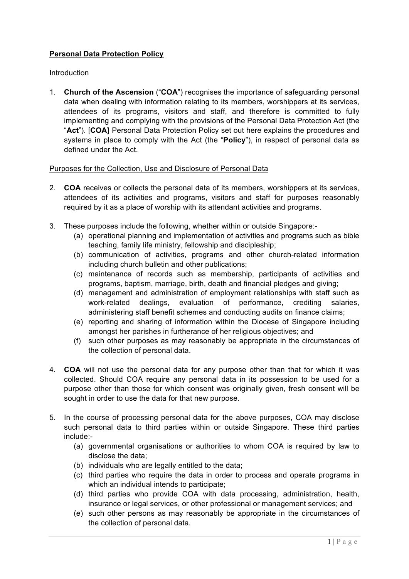# **Personal Data Protection Policy**

## Introduction

1. **Church of the Ascension** ("**COA**") recognises the importance of safeguarding personal data when dealing with information relating to its members, worshippers at its services, attendees of its programs, visitors and staff, and therefore is committed to fully implementing and complying with the provisions of the Personal Data Protection Act (the "**Act**"). [**COA]** Personal Data Protection Policy set out here explains the procedures and systems in place to comply with the Act (the "**Policy**"), in respect of personal data as defined under the Act.

# Purposes for the Collection, Use and Disclosure of Personal Data

- 2. **COA** receives or collects the personal data of its members, worshippers at its services, attendees of its activities and programs, visitors and staff for purposes reasonably required by it as a place of worship with its attendant activities and programs.
- 3. These purposes include the following, whether within or outside Singapore:-
	- (a) operational planning and implementation of activities and programs such as bible teaching, family life ministry, fellowship and discipleship;
	- (b) communication of activities, programs and other church-related information including church bulletin and other publications;
	- (c) maintenance of records such as membership, participants of activities and programs, baptism, marriage, birth, death and financial pledges and giving;
	- (d) management and administration of employment relationships with staff such as work-related dealings, evaluation of performance, crediting salaries, administering staff benefit schemes and conducting audits on finance claims;
	- (e) reporting and sharing of information within the Diocese of Singapore including amongst her parishes in furtherance of her religious objectives; and
	- (f) such other purposes as may reasonably be appropriate in the circumstances of the collection of personal data.
- 4. **COA** will not use the personal data for any purpose other than that for which it was collected. Should COA require any personal data in its possession to be used for a purpose other than those for which consent was originally given, fresh consent will be sought in order to use the data for that new purpose.
- 5. In the course of processing personal data for the above purposes, COA may disclose such personal data to third parties within or outside Singapore. These third parties include:-
	- (a) governmental organisations or authorities to whom COA is required by law to disclose the data;
	- (b) individuals who are legally entitled to the data;
	- (c) third parties who require the data in order to process and operate programs in which an individual intends to participate;
	- (d) third parties who provide COA with data processing, administration, health, insurance or legal services, or other professional or management services; and
	- (e) such other persons as may reasonably be appropriate in the circumstances of the collection of personal data.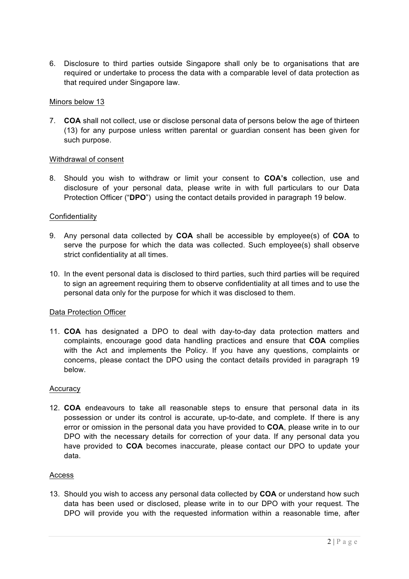6. Disclosure to third parties outside Singapore shall only be to organisations that are required or undertake to process the data with a comparable level of data protection as that required under Singapore law.

## Minors below 13

7. **COA** shall not collect, use or disclose personal data of persons below the age of thirteen (13) for any purpose unless written parental or guardian consent has been given for such purpose.

## Withdrawal of consent

8. Should you wish to withdraw or limit your consent to **COA's** collection, use and disclosure of your personal data, please write in with full particulars to our Data Protection Officer ("**DPO**") using the contact details provided in paragraph 19 below.

## Confidentiality

- 9. Any personal data collected by **COA** shall be accessible by employee(s) of **COA** to serve the purpose for which the data was collected. Such employee(s) shall observe strict confidentiality at all times.
- 10. In the event personal data is disclosed to third parties, such third parties will be required to sign an agreement requiring them to observe confidentiality at all times and to use the personal data only for the purpose for which it was disclosed to them.

# Data Protection Officer

11. **COA** has designated a DPO to deal with day-to-day data protection matters and complaints, encourage good data handling practices and ensure that **COA** complies with the Act and implements the Policy. If you have any questions, complaints or concerns, please contact the DPO using the contact details provided in paragraph 19 below.

#### **Accuracy**

12. **COA** endeavours to take all reasonable steps to ensure that personal data in its possession or under its control is accurate, up-to-date, and complete. If there is any error or omission in the personal data you have provided to **COA**, please write in to our DPO with the necessary details for correction of your data. If any personal data you have provided to **COA** becomes inaccurate, please contact our DPO to update your data.

#### Access

13. Should you wish to access any personal data collected by **COA** or understand how such data has been used or disclosed, please write in to our DPO with your request. The DPO will provide you with the requested information within a reasonable time, after